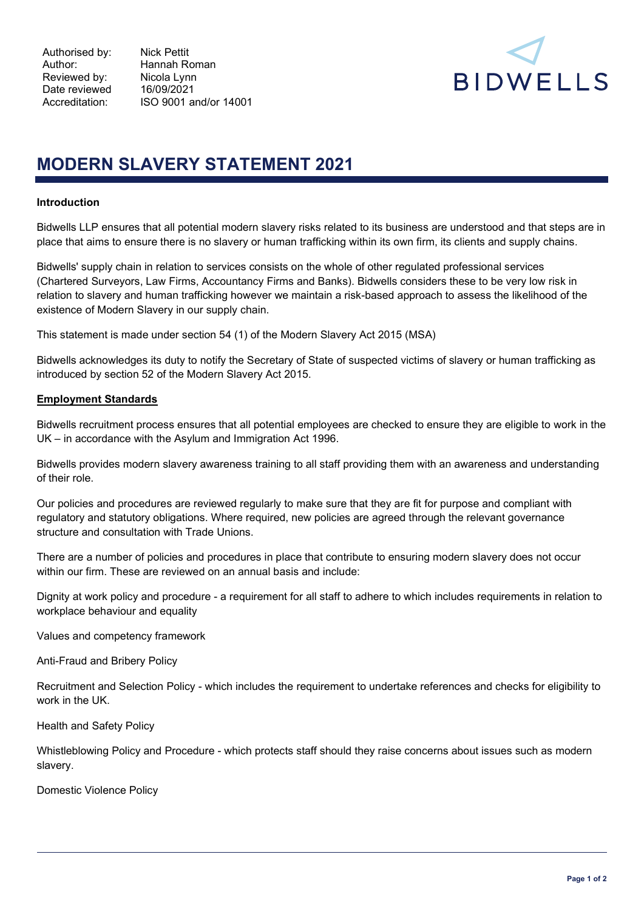Author: Hannah Roman Accreditation: ISO 9001 and/or 14001



# MODERN SLAVERY STATEMENT 2021

### Introduction

Bidwells LLP ensures that all potential modern slavery risks related to its business are understood and that steps are in place that aims to ensure there is no slavery or human trafficking within its own firm, its clients and supply chains.

Bidwells' supply chain in relation to services consists on the whole of other regulated professional services (Chartered Surveyors, Law Firms, Accountancy Firms and Banks). Bidwells considers these to be very low risk in relation to slavery and human trafficking however we maintain a risk-based approach to assess the likelihood of the existence of Modern Slavery in our supply chain.

This statement is made under section 54 (1) of the Modern Slavery Act 2015 (MSA)

Bidwells acknowledges its duty to notify the Secretary of State of suspected victims of slavery or human trafficking as introduced by section 52 of the Modern Slavery Act 2015.

## Employment Standards

Bidwells recruitment process ensures that all potential employees are checked to ensure they are eligible to work in the UK – in accordance with the Asylum and Immigration Act 1996.

Bidwells provides modern slavery awareness training to all staff providing them with an awareness and understanding of their role.

Our policies and procedures are reviewed regularly to make sure that they are fit for purpose and compliant with regulatory and statutory obligations. Where required, new policies are agreed through the relevant governance structure and consultation with Trade Unions.

There are a number of policies and procedures in place that contribute to ensuring modern slavery does not occur within our firm. These are reviewed on an annual basis and include:

Dignity at work policy and procedure - a requirement for all staff to adhere to which includes requirements in relation to workplace behaviour and equality

Values and competency framework

Anti-Fraud and Bribery Policy

Recruitment and Selection Policy - which includes the requirement to undertake references and checks for eligibility to work in the UK.

Health and Safety Policy

Whistleblowing Policy and Procedure - which protects staff should they raise concerns about issues such as modern slavery.

Domestic Violence Policy